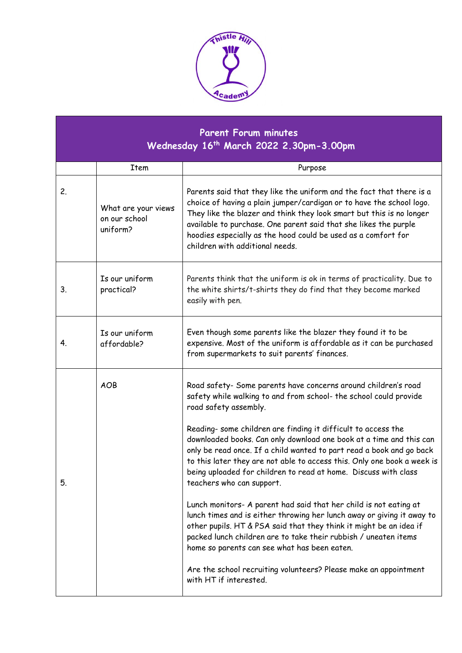

| <b>Parent Forum minutes</b><br>Wednesday 16 <sup>th</sup> March 2022 2.30pm-3.00pm |                                                  |                                                                                                                                                                                                                                                                                                                                                                                                                                                                                                                                                                                                                              |
|------------------------------------------------------------------------------------|--------------------------------------------------|------------------------------------------------------------------------------------------------------------------------------------------------------------------------------------------------------------------------------------------------------------------------------------------------------------------------------------------------------------------------------------------------------------------------------------------------------------------------------------------------------------------------------------------------------------------------------------------------------------------------------|
|                                                                                    | Item                                             | Purpose                                                                                                                                                                                                                                                                                                                                                                                                                                                                                                                                                                                                                      |
| 2.                                                                                 | What are your views<br>on our school<br>uniform? | Parents said that they like the uniform and the fact that there is a<br>choice of having a plain jumper/cardigan or to have the school logo.<br>They like the blazer and think they look smart but this is no longer<br>available to purchase. One parent said that she likes the purple<br>hoodies especially as the hood could be used as a comfort for<br>children with additional needs.                                                                                                                                                                                                                                 |
| 3.                                                                                 | Is our uniform<br>practical?                     | Parents think that the uniform is ok in terms of practicality. Due to<br>the white shirts/t-shirts they do find that they become marked<br>easily with pen.                                                                                                                                                                                                                                                                                                                                                                                                                                                                  |
| 4.                                                                                 | Is our uniform<br>affordable?                    | Even though some parents like the blazer they found it to be<br>expensive. Most of the uniform is affordable as it can be purchased<br>from supermarkets to suit parents' finances.                                                                                                                                                                                                                                                                                                                                                                                                                                          |
| 5.                                                                                 | <b>AOB</b>                                       | Road safety- Some parents have concerns around children's road<br>safety while walking to and from school- the school could provide<br>road safety assembly.<br>Reading- some children are finding it difficult to access the<br>downloaded books. Can only download one book at a time and this can<br>only be read once. If a child wanted to part read a book and go back<br>to this later they are not able to access this. Only one book a week is<br>being uploaded for children to read at home. Discuss with class<br>teachers who can support.<br>Lunch monitors- A parent had said that her child is not eating at |
|                                                                                    |                                                  | lunch times and is either throwing her lunch away or giving it away to<br>other pupils. HT & PSA said that they think it might be an idea if<br>packed lunch children are to take their rubbish / uneaten items<br>home so parents can see what has been eaten.<br>Are the school recruiting volunteers? Please make an appointment<br>with HT if interested.                                                                                                                                                                                                                                                                |